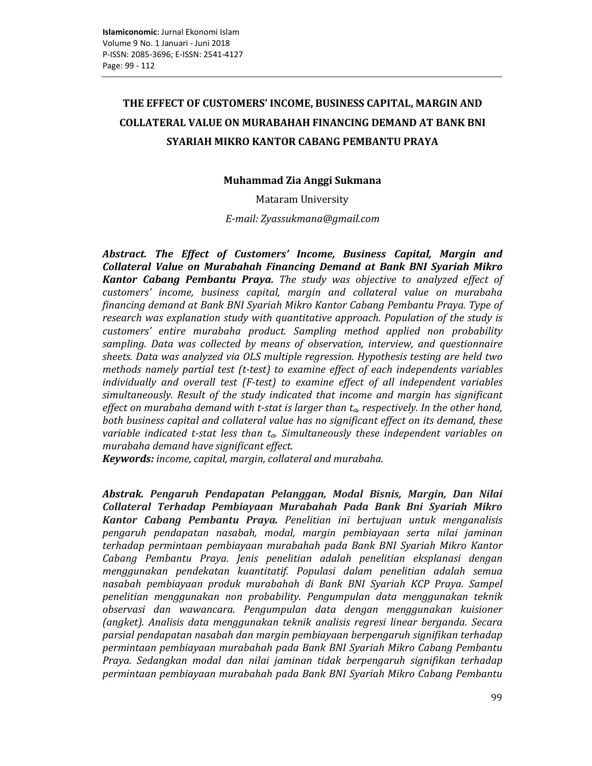# THE EFFECT OF CUSTOMERS' INCOME, BUSINESS CAPITAL, MARGIN AND **COLLATERAL VALUE ON MURABAHAH FINANCING DEMAND AT BANK BNI** SYARIAH MIKRO KANTOR CABANG PEMBANTU PRAYA

# Muhammad Zia Anggi Sukmana

**Mataram University** 

E-mail: Zyassukmana@gmail.com

Abstract. The Effect of Customers' Income, Business Capital, Margin and Collateral Value on Murabahah Financing Demand at Bank BNI Syariah Mikro Kantor Cabang Pembantu Praya. The study was objective to analyzed effect of customers' income, business capital, margin and collateral value on murabaha financing demand at Bank BNI Syariah Mikro Kantor Cabang Pembantu Praya. Type of research was explanation study with quantitative approach. Population of the study is customers' entire murabaha product. Sampling method applied non probability sampling. Data was collected by means of observation, interview, and questionnaire sheets. Data was analyzed via OLS multiple regression. Hypothesis testing are held two methods namely partial test (t-test) to examine effect of each independents variables individually and overall test (F-test) to examine effect of all independent variables simultaneously. Result of the study indicated that income and margin has significant effect on murabaha demand with t-stat is larger than  $t_{\alpha}$ , respectively. In the other hand, both business capital and collateral value has no significant effect on its demand, these variable indicated t-stat less than  $t_{\alpha}$ . Simultaneously these independent variables on murabaha demand have significant effect.

Keywords: income, capital, margin, collateral and murabaha.

Abstrak. Pengaruh Pendapatan Pelanggan, Modal Bisnis, Margin, Dan Nilai Collateral Terhadap Pembiayaan Murabahah Pada Bank Bni Syariah Mikro Kantor Cabang Pembantu Praya. Penelitian ini bertujuan untuk menganalisis pengaruh pendapatan nasabah, modal, margin pembiayaan serta nilai jaminan terhadap permintaan pembiayaan murabahah pada Bank BNI Syariah Mikro Kantor Cabang Pembantu Praya. Jenis penelitian adalah penelitian eksplanasi dengan menggunakan pendekatan kuantitatif. Populasi dalam penelitian adalah semua nasabah pembiayaan produk murabahah di Bank BNI Syariah KCP Praya. Sampel penelitian menggunakan non probability. Pengumpulan data menggunakan teknik observasi dan wawancara. Pengumpulan data dengan menggunakan kuisioner (angket). Analisis data menggunakan teknik analisis regresi linear berganda. Secara parsial pendapatan nasabah dan margin pembiayaan berpengaruh signifikan terhadap permintaan pembiayaan murabahah pada Bank BNI Syariah Mikro Cabang Pembantu Praya. Sedangkan modal dan nilai jaminan tidak berpengaruh signifikan terhadap permintaan pembiayaan murabahah pada Bank BNI Syariah Mikro Cabang Pembantu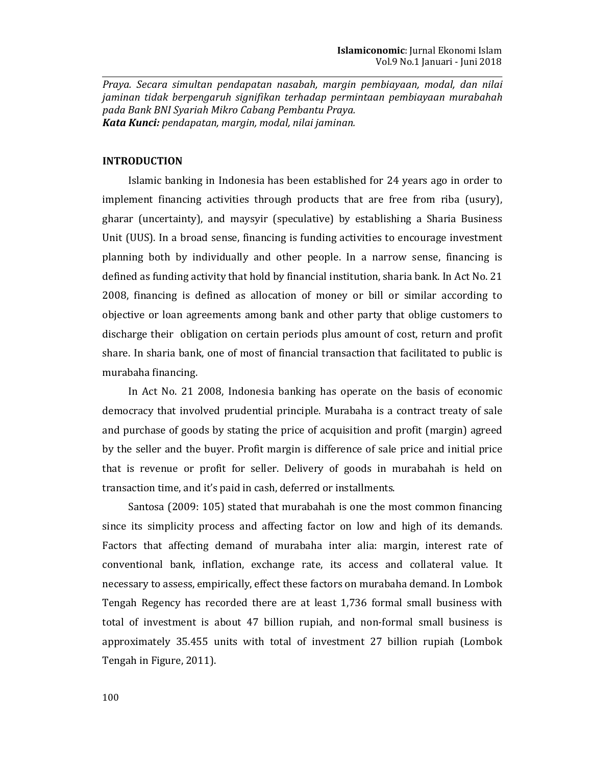Praya. Secara simultan pendapatan nasabah, margin pembiayaan, modal, dan nilai jaminan tidak berpengaruh signifikan terhadap permintaan pembiayaan murabahah pada Bank BNI Syariah Mikro Cabang Pembantu Praya. Kata Kunci: pendapatan, margin, modal, nilai jaminan.

## **INTRODUCTION**

Islamic banking in Indonesia has been established for 24 years ago in order to implement financing activities through products that are free from riba (usury), gharar (uncertainty), and maysyir (speculative) by establishing a Sharia Business Unit (UUS). In a broad sense, financing is funding activities to encourage investment planning both by individually and other people. In a narrow sense, financing is defined as funding activity that hold by financial institution, sharia bank. In Act No. 21 2008, financing is defined as allocation of money or bill or similar according to objective or loan agreements among bank and other party that oblige customers to discharge their obligation on certain periods plus amount of cost, return and profit share. In sharia bank, one of most of financial transaction that facilitated to public is murabaha financing.

In Act No. 21 2008, Indonesia banking has operate on the basis of economic democracy that involved prudential principle. Murabaha is a contract treaty of sale and purchase of goods by stating the price of acquisition and profit (margin) agreed by the seller and the buyer. Profit margin is difference of sale price and initial price that is revenue or profit for seller. Delivery of goods in murabahah is held on transaction time, and it's paid in cash, deferred or installments.

Santosa (2009: 105) stated that murabahah is one the most common financing since its simplicity process and affecting factor on low and high of its demands. Factors that affecting demand of murabaha inter alia: margin, interest rate of conventional bank, inflation, exchange rate, its access and collateral value. It necessary to assess, empirically, effect these factors on murabaha demand. In Lombok Tengah Regency has recorded there are at least 1,736 formal small business with total of investment is about 47 billion rupiah, and non-formal small business is approximately 35.455 units with total of investment 27 billion rupiah (Lombok Tengah in Figure, 2011).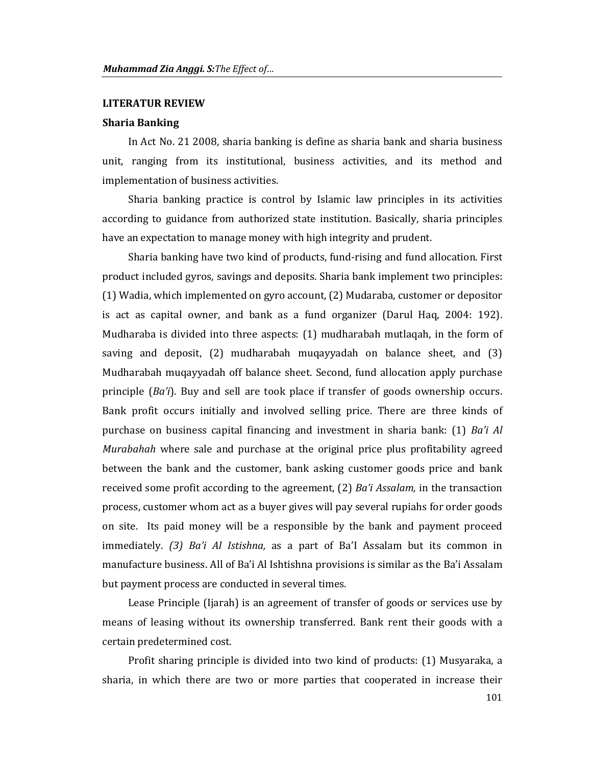#### **LITERATUR REVIEW**

### **Sharia Banking**

In Act No. 21 2008, sharia banking is define as sharia bank and sharia business unit, ranging from its institutional, business activities, and its method and implementation of business activities.

Sharia banking practice is control by Islamic law principles in its activities according to guidance from authorized state institution. Basically, sharia principles have an expectation to manage money with high integrity and prudent.

Sharia banking have two kind of products, fund-rising and fund allocation. First product included gyros, savings and deposits. Sharia bank implement two principles: (1) Wadia, which implemented on gyro account, (2) Mudaraba, customer or depositor is act as capital owner, and bank as a fund organizer (Darul Haq, 2004: 192). Mudharaba is divided into three aspects: (1) mudharabah mutlagah, in the form of saving and deposit, (2) mudharabah mugayyadah on balance sheet, and (3) Mudharabah muqayyadah off balance sheet. Second, fund allocation apply purchase principle  $(Ba'i)$ . Buy and sell are took place if transfer of goods ownership occurs. Bank profit occurs initially and involved selling price. There are three kinds of purchase on business capital financing and investment in sharia bank: (1) Ba'i Al Murabahah where sale and purchase at the original price plus profitability agreed between the bank and the customer, bank asking customer goods price and bank received some profit according to the agreement,  $(2)$  Ba'i Assalam, in the transaction process, customer whom act as a buyer gives will pay several rupiahs for order goods on site. Its paid money will be a responsible by the bank and payment proceed immediately. (3) Ba'i Al Istishna, as a part of Ba'l Assalam but its common in manufacture business. All of Ba'i Al Ishtishna provisions is similar as the Ba'i Assalam but payment process are conducted in several times.

Lease Principle (Ijarah) is an agreement of transfer of goods or services use by means of leasing without its ownership transferred. Bank rent their goods with a certain predetermined cost.

Profit sharing principle is divided into two kind of products: (1) Musyaraka, a sharia, in which there are two or more parties that cooperated in increase their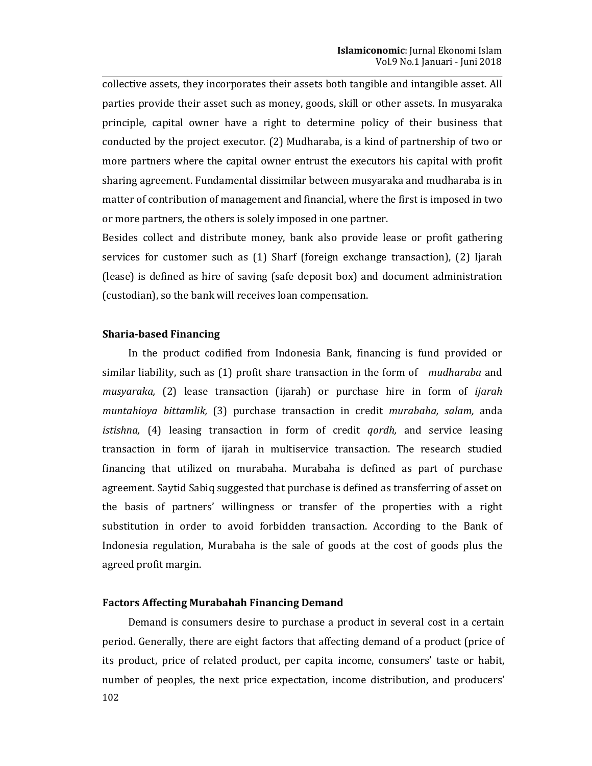collective assets, they incorporates their assets both tangible and intangible asset. All parties provide their asset such as money, goods, skill or other assets. In musyaraka principle, capital owner have a right to determine policy of their business that conducted by the project executor. (2) Mudharaba, is a kind of partnership of two or more partners where the capital owner entrust the executors his capital with profit sharing agreement. Fundamental dissimilar between musyaraka and mudharaba is in matter of contribution of management and financial, where the first is imposed in two or more partners, the others is solely imposed in one partner.

Besides collect and distribute money, bank also provide lease or profit gathering services for customer such as (1) Sharf (foreign exchange transaction), (2) Ijarah (lease) is defined as hire of saving (safe deposit box) and document administration (custodian), so the bank will receives loan compensation.

## **Sharia-based Financing**

In the product codified from Indonesia Bank, financing is fund provided or similar liability, such as (1) profit share transaction in the form of *mudharaba* and musyaraka, (2) lease transaction (ijarah) or purchase hire in form of *ijarah* muntahioya bittamlik, (3) purchase transaction in credit murabaha, salam, anda istishna, (4) leasing transaction in form of credit *gordh*, and service leasing transaction in form of ijarah in multiservice transaction. The research studied financing that utilized on murabaha. Murabaha is defined as part of purchase agreement. Saytid Sabiq suggested that purchase is defined as transferring of asset on the basis of partners' willingness or transfer of the properties with a right substitution in order to avoid forbidden transaction. According to the Bank of Indonesia regulation, Murabaha is the sale of goods at the cost of goods plus the agreed profit margin.

### **Factors Affecting Murabahah Financing Demand**

Demand is consumers desire to purchase a product in several cost in a certain period. Generally, there are eight factors that affecting demand of a product (price of its product, price of related product, per capita income, consumers' taste or habit, number of peoples, the next price expectation, income distribution, and producers' 102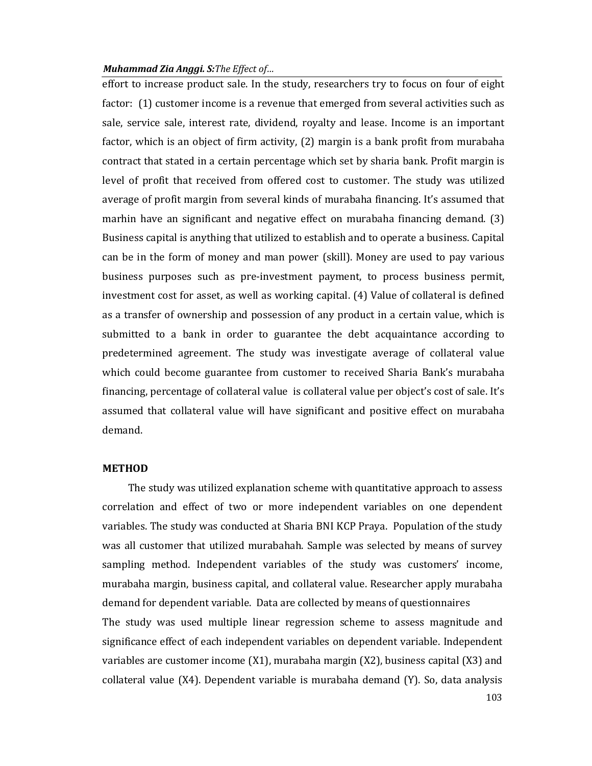### Muhammad Zia Anggi. S: The Effect of...

effort to increase product sale. In the study, researchers try to focus on four of eight factor: (1) customer income is a revenue that emerged from several activities such as sale, service sale, interest rate, dividend, royalty and lease. Income is an important factor, which is an object of firm activity, (2) margin is a bank profit from murabaha contract that stated in a certain percentage which set by sharia bank. Profit margin is level of profit that received from offered cost to customer. The study was utilized average of profit margin from several kinds of murabaha financing. It's assumed that marhin have an significant and negative effect on murabaha financing demand. (3) Business capital is anything that utilized to establish and to operate a business. Capital can be in the form of money and man power (skill). Money are used to pay various business purposes such as pre-investment payment, to process business permit, investment cost for asset, as well as working capital. (4) Value of collateral is defined as a transfer of ownership and possession of any product in a certain value, which is submitted to a bank in order to guarantee the debt acquaintance according to predetermined agreement. The study was investigate average of collateral value which could become guarantee from customer to received Sharia Bank's murabaha financing, percentage of collateral value is collateral value per object's cost of sale. It's assumed that collateral value will have significant and positive effect on murabaha demand.

# **METHOD**

The study was utilized explanation scheme with quantitative approach to assess correlation and effect of two or more independent variables on one dependent variables. The study was conducted at Sharia BNI KCP Praya. Population of the study was all customer that utilized murabahah. Sample was selected by means of survey sampling method. Independent variables of the study was customers' income, murabaha margin, business capital, and collateral value. Researcher apply murabaha demand for dependent variable. Data are collected by means of questionnaires

The study was used multiple linear regression scheme to assess magnitude and significance effect of each independent variables on dependent variable. Independent variables are customer income  $(X1)$ , murabaha margin  $(X2)$ , business capital  $(X3)$  and collateral value (X4). Dependent variable is murabaha demand (Y). So, data analysis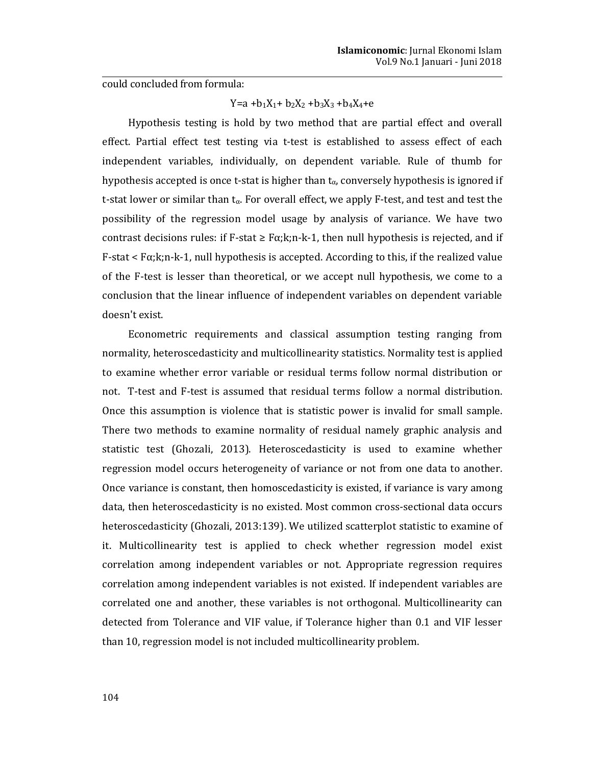could concluded from formula:

# $Y=a +b_1X_1 + b_2X_2 + b_3X_3 + b_4X_4 + e$

Hypothesis testing is hold by two method that are partial effect and overall effect. Partial effect test testing via t-test is established to assess effect of each independent variables, individually, on dependent variable. Rule of thumb for hypothesis accepted is once t-stat is higher than  $t_{\alpha}$ , conversely hypothesis is ignored if t-stat lower or similar than  $t_{\alpha}$ . For overall effect, we apply F-test, and test and test the possibility of the regression model usage by analysis of variance. We have two contrast decisions rules: if F-stat  $\geq$  F $\alpha$ ;k;n-k-1, then null hypothesis is rejected, and if  $F$ -stat <  $F\alpha$ ;  $k; n-k-1$ , null hypothesis is accepted. According to this, if the realized value of the F-test is lesser than theoretical, or we accept null hypothesis, we come to a conclusion that the linear influence of independent variables on dependent variable doesn't exist.

Econometric requirements and classical assumption testing ranging from normality, heteroscedasticity and multicollinearity statistics. Normality test is applied to examine whether error variable or residual terms follow normal distribution or not. T-test and F-test is assumed that residual terms follow a normal distribution. Once this assumption is violence that is statistic power is invalid for small sample. There two methods to examine normality of residual namely graphic analysis and statistic test (Ghozali, 2013). Heteroscedasticity is used to examine whether regression model occurs heterogeneity of variance or not from one data to another. Once variance is constant, then homoscedasticity is existed, if variance is vary among data, then heteroscedasticity is no existed. Most common cross-sectional data occurs heteroscedasticity (Ghozali, 2013:139). We utilized scatterplot statistic to examine of it. Multicollinearity test is applied to check whether regression model exist correlation among independent variables or not. Appropriate regression requires correlation among independent variables is not existed. If independent variables are correlated one and another, these variables is not orthogonal. Multicollinearity can detected from Tolerance and VIF value, if Tolerance higher than 0.1 and VIF lesser than 10, regression model is not included multicollinearity problem.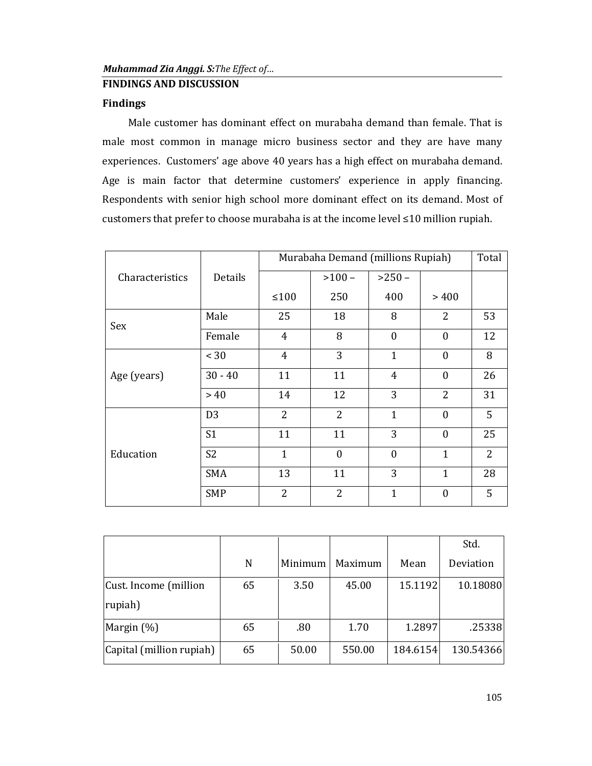# **FINDINGS AND DISCUSSION**

# **Findings**

Male customer has dominant effect on murabaha demand than female. That is male most common in manage micro business sector and they are have many experiences. Customers' age above 40 years has a high effect on murabaha demand. Age is main factor that determine customers' experience in apply financing. Respondents with senior high school more dominant effect on its demand. Most of customers that prefer to choose murabaha is at the income level ≤10 million rupiah.

|                 |                |                | Murabaha Demand (millions Rupiah) |                  |                  |                |  |  |
|-----------------|----------------|----------------|-----------------------------------|------------------|------------------|----------------|--|--|
| Characteristics | Details        |                | $>100-$                           | $>250-$          |                  |                |  |  |
|                 |                | $\leq 100$     | 250                               | 400              | >400             |                |  |  |
| Sex             | Male           | 25             | 18                                | 8                | $\overline{2}$   | 53             |  |  |
|                 | Female         | $\overline{4}$ | 8                                 | $\boldsymbol{0}$ | $\boldsymbol{0}$ | 12             |  |  |
|                 | < 30           | $\overline{4}$ | 3                                 | $\mathbf{1}$     | $\mathbf{0}$     | 8              |  |  |
| Age (years)     | $30 - 40$      | 11             | 11                                | 4                | $\mathbf{0}$     | 26             |  |  |
|                 | >40            | 14             | 12                                | 3                | $\overline{2}$   | 31             |  |  |
|                 | D <sub>3</sub> | $\overline{2}$ | $\overline{2}$                    | $\mathbf{1}$     | $\mathbf{0}$     | 5              |  |  |
| Education       | S <sub>1</sub> | 11             | 11                                | 3                | $\mathbf{0}$     | 25             |  |  |
|                 | S <sub>2</sub> | $\mathbf{1}$   | $\mathbf{0}$                      | $\mathbf{0}$     | $\mathbf{1}$     | $\overline{2}$ |  |  |
|                 | <b>SMA</b>     | 13             | 11                                | 3                | $\mathbf{1}$     | 28             |  |  |
|                 | <b>SMP</b>     | $\overline{2}$ | $\overline{2}$                    | $\mathbf{1}$     | $\mathbf{0}$     | 5              |  |  |

|                          |    |         |         |          | Std.      |
|--------------------------|----|---------|---------|----------|-----------|
|                          | N  | Minimum | Maximum | Mean     | Deviation |
| Cust. Income (million    | 65 | 3.50    | 45.00   | 15.1192  | 10.18080  |
| rupiah)                  |    |         |         |          |           |
| Margin $(\%)$            | 65 | .80     | 1.70    | 1.2897   | .25338    |
| Capital (million rupiah) | 65 | 50.00   | 550.00  | 184.6154 | 130.54366 |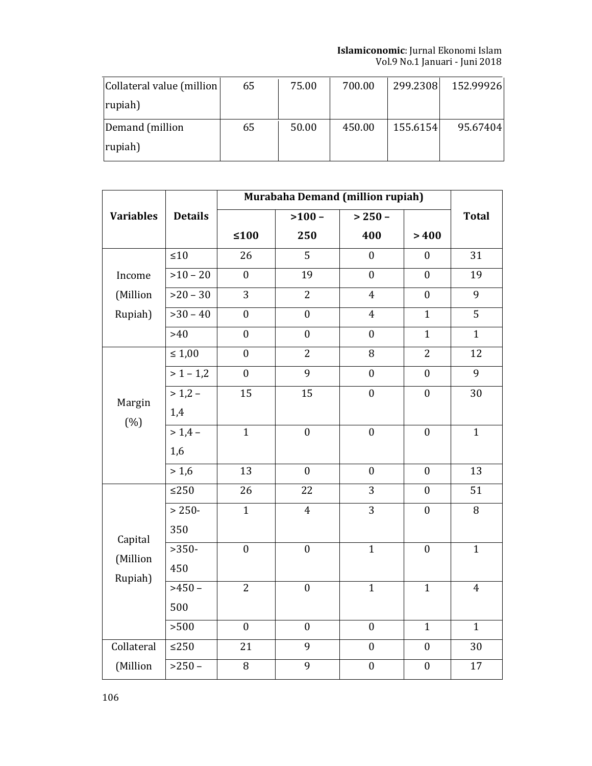**Islamiconomic:** Jurnal Ekonomi Islam<br>Vol.9 No.1 Januari - Juni 2018

| Collateral value (million) | 65 | 75.00 | 700.00 | 299.2308 | 152.99926 |
|----------------------------|----|-------|--------|----------|-----------|
| rupiah)                    |    |       |        |          |           |
| Demand (million            | 65 | 50.00 | 450.00 | 155.6154 | 95.67404  |
| rupiah)                    |    |       |        |          |           |

|                  |                | <b>Murabaha Demand (million rupiah)</b> |                  |                  |                  |                |
|------------------|----------------|-----------------------------------------|------------------|------------------|------------------|----------------|
| <b>Variables</b> | <b>Details</b> |                                         | $>100-$          | $> 250 -$        |                  | <b>Total</b>   |
|                  |                | $≤100$                                  | 250              | 400              | >400             |                |
|                  | ${\leq}10$     | 26                                      | $\overline{5}$   | $\boldsymbol{0}$ | $\boldsymbol{0}$ | 31             |
| Income           | $>10 - 20$     | $\boldsymbol{0}$                        | 19               | $\boldsymbol{0}$ | $\boldsymbol{0}$ | 19             |
| (Million         | $>20-30$       | 3                                       | $\overline{2}$   | $\overline{4}$   | $\boldsymbol{0}$ | 9              |
| Rupiah)          | $>30-40$       | $\boldsymbol{0}$                        | $\boldsymbol{0}$ | $\overline{4}$   | $\mathbf{1}$     | $\overline{5}$ |
|                  | $>40$          | $\mathbf{0}$                            | $\boldsymbol{0}$ | $\boldsymbol{0}$ | $\mathbf{1}$     | $\mathbf{1}$   |
|                  | $\leq 1,00$    | $\boldsymbol{0}$                        | $\overline{2}$   | 8                | $\overline{2}$   | 12             |
|                  | $> 1 - 1,2$    | $\boldsymbol{0}$                        | $\overline{9}$   | $\boldsymbol{0}$ | $\boldsymbol{0}$ | $\overline{9}$ |
| Margin           | $> 1,2 -$      | 15                                      | 15               | $\boldsymbol{0}$ | $\boldsymbol{0}$ | 30             |
| (% )             | 1,4            |                                         |                  |                  |                  |                |
|                  | $> 1,4-$       | $\mathbf{1}$                            | $\mathbf{0}$     | $\mathbf{0}$     | $\boldsymbol{0}$ | $\mathbf{1}$   |
|                  | 1,6            |                                         |                  |                  |                  |                |
|                  | >1,6           | 13                                      | $\overline{0}$   | $\mathbf{0}$     | $\mathbf{0}$     | 13             |
|                  | ${\leq}250$    | 26                                      | 22               | 3                | $\mathbf{0}$     | 51             |
|                  | $> 250-$       | $\overline{1}$                          | $\overline{4}$   | $\overline{3}$   | $\mathbf{0}$     | 8              |
| Capital          | 350            |                                         |                  |                  |                  |                |
| (Million         | $>350-$        | $\boldsymbol{0}$                        | $\boldsymbol{0}$ | $\mathbf{1}$     | $\boldsymbol{0}$ | $\mathbf{1}$   |
| Rupiah)          | 450            |                                         |                  |                  |                  |                |
|                  | $>450-$        | $\overline{2}$                          | $\boldsymbol{0}$ | $\mathbf{1}$     | $\mathbf{1}$     | $\overline{4}$ |
|                  | 500            |                                         |                  |                  |                  |                |
|                  | > 500          | $\mathbf{0}$                            | $\boldsymbol{0}$ | $\mathbf{0}$     | $\mathbf{1}$     | $\mathbf{1}$   |
| Collateral       | ${\leq}250$    | 21                                      | 9                | $\boldsymbol{0}$ | $\mathbf{0}$     | 30             |
| (Million         | $>250-$        | $\overline{8}$                          | $\overline{9}$   | $\mathbf{0}$     | $\mathbf{0}$     | 17             |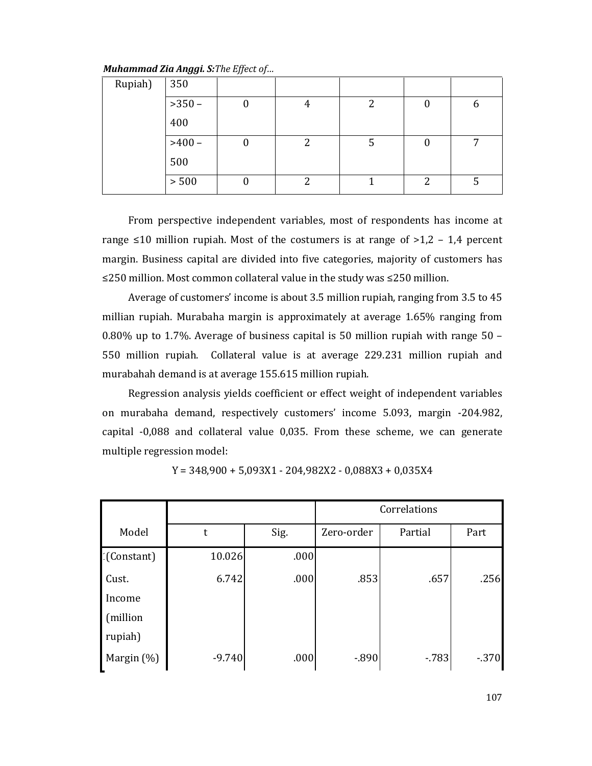Muhammad Zia Anggi. S: The Effect of...

| Rupiah) | 350     |   |    |   |   |
|---------|---------|---|----|---|---|
|         | $>350-$ | 4 | ົາ |   | n |
|         | 400     |   |    |   |   |
|         | $>400-$ | 2 |    |   | – |
|         | 500     |   |    |   |   |
|         | > 500   | ∍ |    | റ |   |

From perspective independent variables, most of respondents has income at range  $\leq 10$  million rupiah. Most of the costumers is at range of  $>1,2$  - 1,4 percent margin. Business capital are divided into five categories, majority of customers has ≤250 million. Most common collateral value in the study was ≤250 million.

Average of customers' income is about 3.5 million rupiah, ranging from 3.5 to 45 millian rupiah. Murabaha margin is approximately at average 1.65% ranging from 0.80% up to 1.7%. Average of business capital is 50 million rupiah with range  $50 -$ 550 million rupiah. Collateral value is at average 229.231 million rupiah and murabahah demand is at average 155.615 million rupiah.

Regression analysis yields coefficient or effect weight of independent variables on murabaha demand, respectively customers' income 5.093, margin -204.982, capital -0,088 and collateral value 0,035. From these scheme, we can generate multiple regression model:

|               |          |      | Correlations |         |        |  |
|---------------|----------|------|--------------|---------|--------|--|
| Model         | t        | Sig. | Zero-order   | Partial | Part   |  |
| : (Constant)  | 10.026   | .000 |              |         |        |  |
| Cust.         | 6.742    | .000 | .853         | .657    | .256   |  |
| Income        |          |      |              |         |        |  |
| (million      |          |      |              |         |        |  |
| rupiah)       |          |      |              |         |        |  |
| Margin $(\%)$ | $-9.740$ | .000 | $-0.890$     | $-783$  | $-370$ |  |

 $Y = 348,900 + 5,093X1 - 204,982X2 - 0,088X3 + 0,035X4$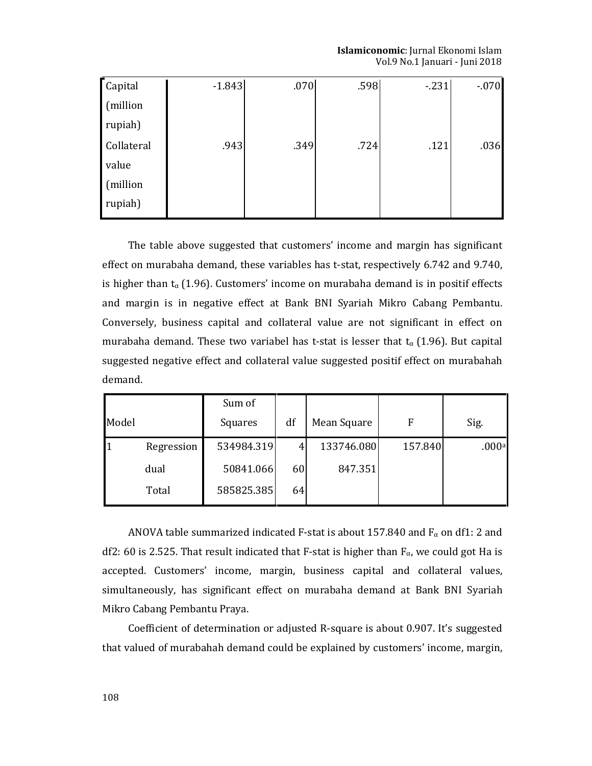Islamiconomic: Jurnal Ekonomi Islam Vol.9 No.1 Januari - Juni 2018

| Capital    | $-1.843$ | .070 | .598 | $-231$ | $-070$ |
|------------|----------|------|------|--------|--------|
| (million   |          |      |      |        |        |
| rupiah)    |          |      |      |        |        |
| Collateral | .943     | .349 | .724 | .121   | .036   |
| value      |          |      |      |        |        |
| (million   |          |      |      |        |        |
| rupiah)    |          |      |      |        |        |

The table above suggested that customers' income and margin has significant effect on murabaha demand, these variables has t-stat, respectively 6.742 and 9.740, is higher than  $t_{\alpha}$  (1.96). Customers' income on murabaha demand is in positif effects and margin is in negative effect at Bank BNI Syariah Mikro Cabang Pembantu. Conversely, business capital and collateral value are not significant in effect on murabaha demand. These two variabel has t-stat is lesser that  $t_{\alpha}$  (1.96). But capital suggested negative effect and collateral value suggested positif effect on murabahah demand.

|       |            | Sum of     |    |             |              |       |
|-------|------------|------------|----|-------------|--------------|-------|
| Model |            | Squares    | df | Mean Square | $\mathbf{F}$ | Sig.  |
|       | Regression | 534984.319 | 4  | 133746.080  | 157.840      | .000a |
|       | dual       | 50841.066  | 60 | 847.351     |              |       |
|       | Total      | 585825.385 | 64 |             |              |       |

ANOVA table summarized indicated F-stat is about 157.840 and  $F_{\alpha}$  on df1: 2 and df2: 60 is 2.525. That result indicated that F-stat is higher than  $F_{\alpha}$ , we could got Ha is accepted. Customers' income, margin, business capital and collateral values, simultaneously, has significant effect on murabaha demand at Bank BNI Syariah Mikro Cabang Pembantu Praya.

Coefficient of determination or adjusted R-square is about 0.907. It's suggested that valued of murabahah demand could be explained by customers' income, margin,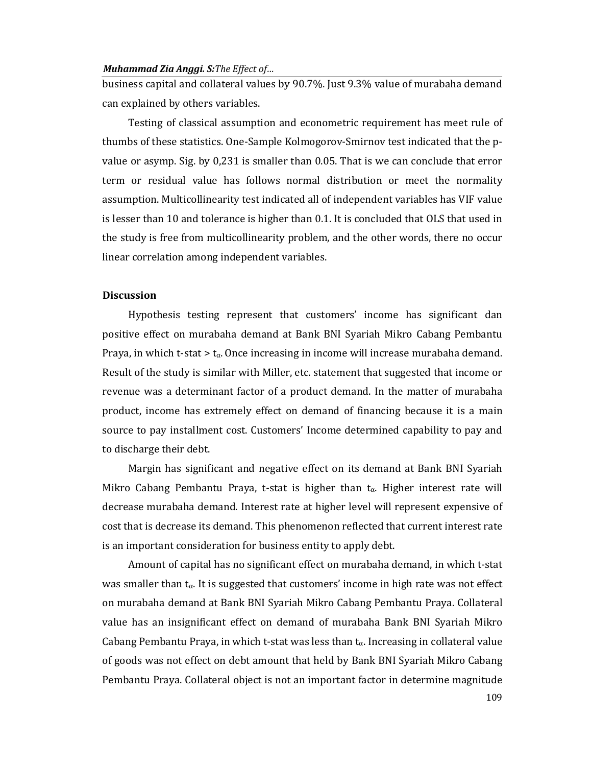### Muhammad Zia Anggi. S: The Effect of...

business capital and collateral values by 90.7%. Just 9.3% value of murabaha demand can explained by others variables.

Testing of classical assumption and econometric requirement has meet rule of thumbs of these statistics. One-Sample Kolmogorov-Smirnov test indicated that the pvalue or asymp. Sig. by 0,231 is smaller than 0.05. That is we can conclude that error term or residual value has follows normal distribution or meet the normality assumption. Multicollinearity test indicated all of independent variables has VIF value is lesser than 10 and tolerance is higher than 0.1. It is concluded that OLS that used in the study is free from multicollinearity problem, and the other words, there no occur linear correlation among independent variables.

# **Discussion**

Hypothesis testing represent that customers' income has significant dan positive effect on murabaha demand at Bank BNI Syariah Mikro Cabang Pembantu Praya, in which t-stat  $> t_{\alpha}$ . Once increasing in income will increase murabaha demand. Result of the study is similar with Miller, etc. statement that suggested that income or revenue was a determinant factor of a product demand. In the matter of murabaha product, income has extremely effect on demand of financing because it is a main source to pay installment cost. Customers' Income determined capability to pay and to discharge their debt.

Margin has significant and negative effect on its demand at Bank BNI Syariah Mikro Cabang Pembantu Praya, t-stat is higher than  $t_{\alpha}$ . Higher interest rate will decrease murabaha demand. Interest rate at higher level will represent expensive of cost that is decrease its demand. This phenomenon reflected that current interest rate is an important consideration for business entity to apply debt.

Amount of capital has no significant effect on murabaha demand, in which t-stat was smaller than  $t_{\alpha}$ . It is suggested that customers' income in high rate was not effect on murabaha demand at Bank BNI Syariah Mikro Cabang Pembantu Praya. Collateral value has an insignificant effect on demand of murabaha Bank BNI Syariah Mikro Cabang Pembantu Praya, in which t-stat was less than  $t_{\alpha}$ . Increasing in collateral value of goods was not effect on debt amount that held by Bank BNI Syariah Mikro Cabang Pembantu Praya. Collateral object is not an important factor in determine magnitude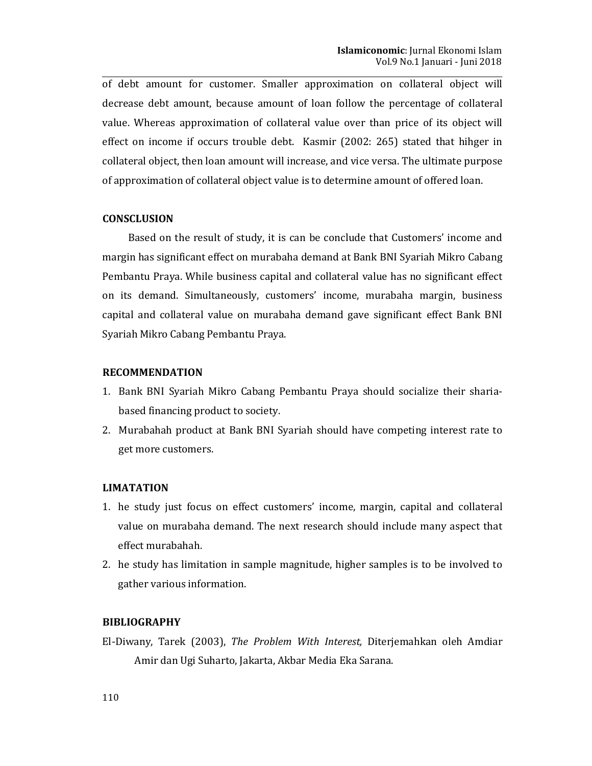of debt amount for customer. Smaller approximation on collateral object will decrease debt amount, because amount of loan follow the percentage of collateral value. Whereas approximation of collateral value over than price of its object will effect on income if occurs trouble debt. Kasmir (2002: 265) stated that hihger in collateral object, then loan amount will increase, and vice versa. The ultimate purpose of approximation of collateral object value is to determine amount of offered loan.

### **CONSCLUSION**

Based on the result of study, it is can be conclude that Customers' income and margin has significant effect on murabaha demand at Bank BNI Syariah Mikro Cabang Pembantu Praya. While business capital and collateral value has no significant effect on its demand. Simultaneously, customers' income, murabaha margin, business capital and collateral value on murabaha demand gave significant effect Bank BNI Syariah Mikro Cabang Pembantu Praya.

# **RECOMMENDATION**

- 1. Bank BNI Syariah Mikro Cabang Pembantu Praya should socialize their shariabased financing product to society.
- 2. Murabahah product at Bank BNI Syariah should have competing interest rate to get more customers.

### **LIMATATION**

- 1. he study just focus on effect customers' income, margin, capital and collateral value on murabaha demand. The next research should include many aspect that effect murabahah.
- 2. he study has limitation in sample magnitude, higher samples is to be involved to gather various information.

# **BIBLIOGRAPHY**

El-Diwany, Tarek (2003), The Problem With Interest, Diterjemahkan oleh Amdiar Amir dan Ugi Suharto, Jakarta, Akbar Media Eka Sarana.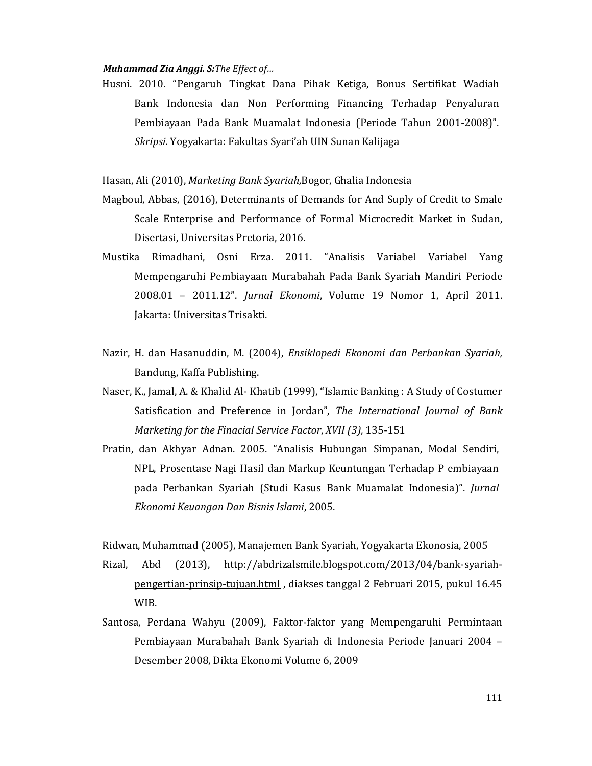### Muhammad Zia Anggi. S: The Effect of...

Husni. 2010. "Pengaruh Tingkat Dana Pihak Ketiga, Bonus Sertifikat Wadiah Bank Indonesia dan Non Performing Financing Terhadap Penyaluran Pembiayaan Pada Bank Muamalat Indonesia (Periode Tahun 2001-2008)". Skripsi. Yogyakarta: Fakultas Syari'ah UIN Sunan Kalijaga

Hasan, Ali (2010), Marketing Bank Syariah, Bogor, Ghalia Indonesia

- Magboul, Abbas, (2016), Determinants of Demands for And Suply of Credit to Smale Scale Enterprise and Performance of Formal Microcredit Market in Sudan, Disertasi, Universitas Pretoria, 2016.
- Mustika Rimadhani, Osni Erza. 2011. "Analisis Variabel Variabel Yang Mempengaruhi Pembiayaan Murabahah Pada Bank Syariah Mandiri Periode 2008.01 - 2011.12". Jurnal Ekonomi, Volume 19 Nomor 1, April 2011. Jakarta: Universitas Trisakti.
- Nazir, H. dan Hasanuddin, M. (2004), Ensiklopedi Ekonomi dan Perbankan Syariah, Bandung, Kaffa Publishing.
- Naser, K., Jamal, A. & Khalid Al- Khatib (1999), "Islamic Banking : A Study of Costumer Satisfication and Preference in Jordan", The International Journal of Bank Marketing for the Finacial Service Factor, XVII (3), 135-151
- Pratin, dan Akhyar Adnan. 2005. "Analisis Hubungan Simpanan, Modal Sendiri, NPL, Prosentase Nagi Hasil dan Markup Keuntungan Terhadap P embiayaan pada Perbankan Syariah (Studi Kasus Bank Muamalat Indonesia)". Jurnal Ekonomi Keuangan Dan Bisnis Islami, 2005.

Ridwan, Muhammad (2005), Manajemen Bank Syariah, Yogyakarta Ekonosia, 2005 Rizal, Abd  $(2013)$ , http://abdrizalsmile.blogspot.com/2013/04/bank-svariahpengertian-prinsip-tujuan.html, diakses tanggal 2 Februari 2015, pukul 16.45 WIB.

Santosa, Perdana Wahyu (2009), Faktor-faktor yang Mempengaruhi Permintaan Pembiayaan Murabahah Bank Syariah di Indonesia Periode Januari 2004 -Desember 2008, Dikta Ekonomi Volume 6, 2009